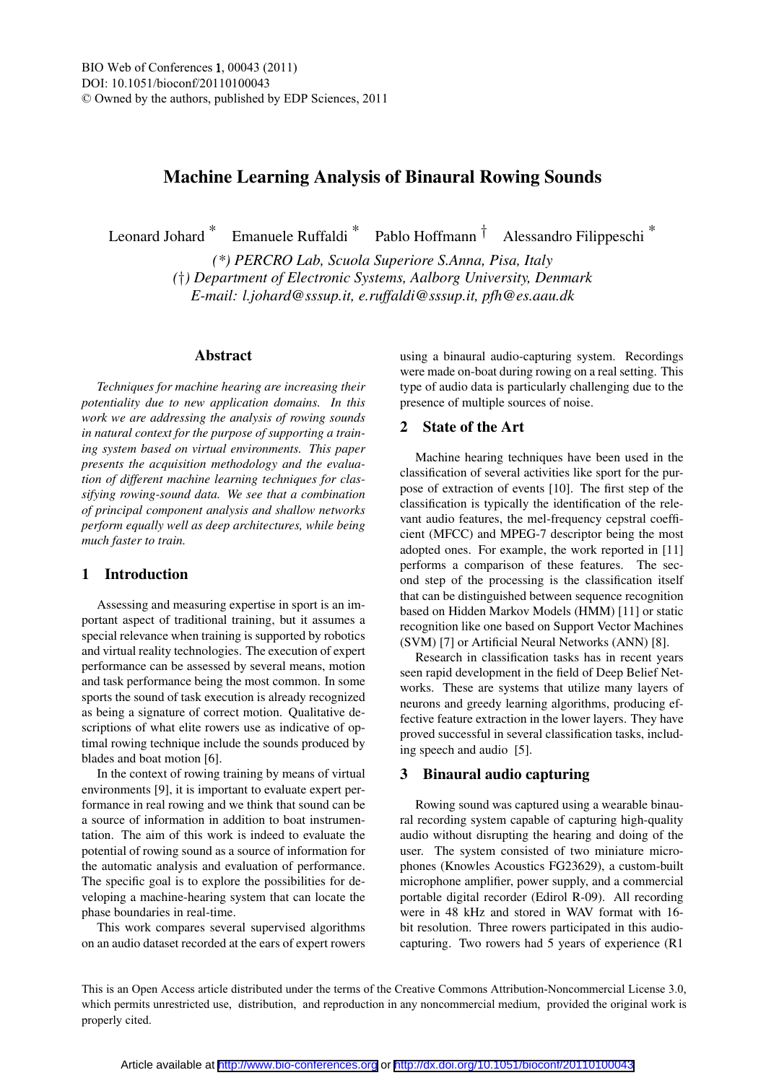# Machine Learning Analysis of Binaural Rowing Sounds

Leonard Johard \* Emanuele Ruffaldi \* Pablo Hoffmann † Alessandro Filippeschi \*

*(\*) PERCRO Lab, Scuola Superiore S.Anna, Pisa, Italy (*†*) Department of Electronic Systems, Aalborg University, Denmark E-mail: l.johard@sssup.it, e.ruffaldi@sssup.it, pfh@es.aau.dk*

#### Abstract

*Techniques for machine hearing are increasing their potentiality due to new application domains. In this work we are addressing the analysis of rowing sounds in natural context for the purpose of supporting a training system based on virtual environments. This paper presents the acquisition methodology and the evaluation of different machine learning techniques for classifying rowing-sound data. We see that a combination of principal component analysis and shallow networks perform equally well as deep architectures, while being much faster to train.*

# 1 Introduction

Assessing and measuring expertise in sport is an important aspect of traditional training, but it assumes a special relevance when training is supported by robotics and virtual reality technologies. The execution of expert performance can be assessed by several means, motion and task performance being the most common. In some sports the sound of task execution is already recognized as being a signature of correct motion. Qualitative descriptions of what elite rowers use as indicative of optimal rowing technique include the sounds produced by blades and boat motion [6].

In the context of rowing training by means of virtual environments [9], it is important to evaluate expert performance in real rowing and we think that sound can be a source of information in addition to boat instrumentation. The aim of this work is indeed to evaluate the potential of rowing sound as a source of information for the automatic analysis and evaluation of performance. The specific goal is to explore the possibilities for developing a machine-hearing system that can locate the phase boundaries in real-time.

This work compares several supervised algorithms on an audio dataset recorded at the ears of expert rowers

using a binaural audio-capturing system. Recordings were made on-boat during rowing on a real setting. This type of audio data is particularly challenging due to the presence of multiple sources of noise.

## 2 State of the Art

Machine hearing techniques have been used in the classification of several activities like sport for the purpose of extraction of events [10]. The first step of the classification is typically the identification of the relevant audio features, the mel-frequency cepstral coefficient (MFCC) and MPEG-7 descriptor being the most adopted ones. For example, the work reported in [11] performs a comparison of these features. The second step of the processing is the classification itself that can be distinguished between sequence recognition based on Hidden Markov Models (HMM) [11] or static recognition like one based on Support Vector Machines (SVM) [7] or Artificial Neural Networks (ANN) [8].

Research in classification tasks has in recent years seen rapid development in the field of Deep Belief Networks. These are systems that utilize many layers of neurons and greedy learning algorithms, producing effective feature extraction in the lower layers. They have proved successful in several classification tasks, including speech and audio [5].

## 3 Binaural audio capturing

Rowing sound was captured using a wearable binaural recording system capable of capturing high-quality audio without disrupting the hearing and doing of the user. The system consisted of two miniature microphones (Knowles Acoustics FG23629), a custom-built microphone amplifier, power supply, and a commercial portable digital recorder (Edirol R-09). All recording were in 48 kHz and stored in WAV format with 16 bit resolution. Three rowers participated in this audiocapturing. Two rowers had 5 years of experience (R1

This is an Open Access article distributed under the terms of the Creative Commons Attribution-Noncommercial License 3.0, which permits unrestricted use, distribution, and reproduction in any noncommercial medium, provided the original work is properly cited.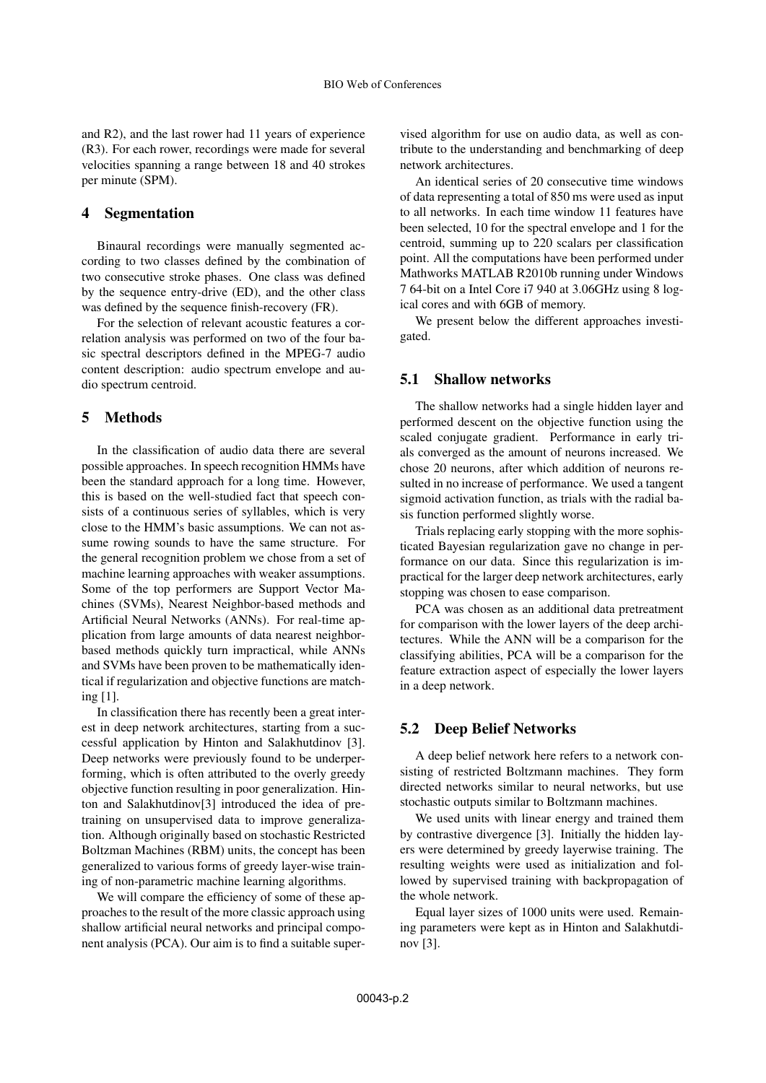and R2), and the last rower had 11 years of experience (R3). For each rower, recordings were made for several velocities spanning a range between 18 and 40 strokes per minute (SPM).

#### 4 Segmentation

Binaural recordings were manually segmented according to two classes defined by the combination of two consecutive stroke phases. One class was defined by the sequence entry-drive (ED), and the other class was defined by the sequence finish-recovery (FR).

For the selection of relevant acoustic features a correlation analysis was performed on two of the four basic spectral descriptors defined in the MPEG-7 audio content description: audio spectrum envelope and audio spectrum centroid.

## 5 Methods

In the classification of audio data there are several possible approaches. In speech recognition HMMs have been the standard approach for a long time. However, this is based on the well-studied fact that speech consists of a continuous series of syllables, which is very close to the HMM's basic assumptions. We can not assume rowing sounds to have the same structure. For the general recognition problem we chose from a set of machine learning approaches with weaker assumptions. Some of the top performers are Support Vector Machines (SVMs), Nearest Neighbor-based methods and Artificial Neural Networks (ANNs). For real-time application from large amounts of data nearest neighborbased methods quickly turn impractical, while ANNs and SVMs have been proven to be mathematically identical if regularization and objective functions are matching [1].

In classification there has recently been a great interest in deep network architectures, starting from a successful application by Hinton and Salakhutdinov [3]. Deep networks were previously found to be underperforming, which is often attributed to the overly greedy objective function resulting in poor generalization. Hinton and Salakhutdinov[3] introduced the idea of pretraining on unsupervised data to improve generalization. Although originally based on stochastic Restricted Boltzman Machines (RBM) units, the concept has been generalized to various forms of greedy layer-wise training of non-parametric machine learning algorithms.

We will compare the efficiency of some of these approaches to the result of the more classic approach using shallow artificial neural networks and principal component analysis (PCA). Our aim is to find a suitable super-

vised algorithm for use on audio data, as well as contribute to the understanding and benchmarking of deep network architectures.

An identical series of 20 consecutive time windows of data representing a total of 850 ms were used as input to all networks. In each time window 11 features have been selected, 10 for the spectral envelope and 1 for the centroid, summing up to 220 scalars per classification point. All the computations have been performed under Mathworks MATLAB R2010b running under Windows 7 64-bit on a Intel Core i7 940 at 3.06GHz using 8 logical cores and with 6GB of memory.

We present below the different approaches investigated.

#### 5.1 Shallow networks

The shallow networks had a single hidden layer and performed descent on the objective function using the scaled conjugate gradient. Performance in early trials converged as the amount of neurons increased. We chose 20 neurons, after which addition of neurons resulted in no increase of performance. We used a tangent sigmoid activation function, as trials with the radial basis function performed slightly worse.

Trials replacing early stopping with the more sophisticated Bayesian regularization gave no change in performance on our data. Since this regularization is impractical for the larger deep network architectures, early stopping was chosen to ease comparison.

PCA was chosen as an additional data pretreatment for comparison with the lower layers of the deep architectures. While the ANN will be a comparison for the classifying abilities, PCA will be a comparison for the feature extraction aspect of especially the lower layers in a deep network.

## 5.2 Deep Belief Networks

A deep belief network here refers to a network consisting of restricted Boltzmann machines. They form directed networks similar to neural networks, but use stochastic outputs similar to Boltzmann machines.

We used units with linear energy and trained them by contrastive divergence [3]. Initially the hidden layers were determined by greedy layerwise training. The resulting weights were used as initialization and followed by supervised training with backpropagation of the whole network.

Equal layer sizes of 1000 units were used. Remaining parameters were kept as in Hinton and Salakhutdinov [3].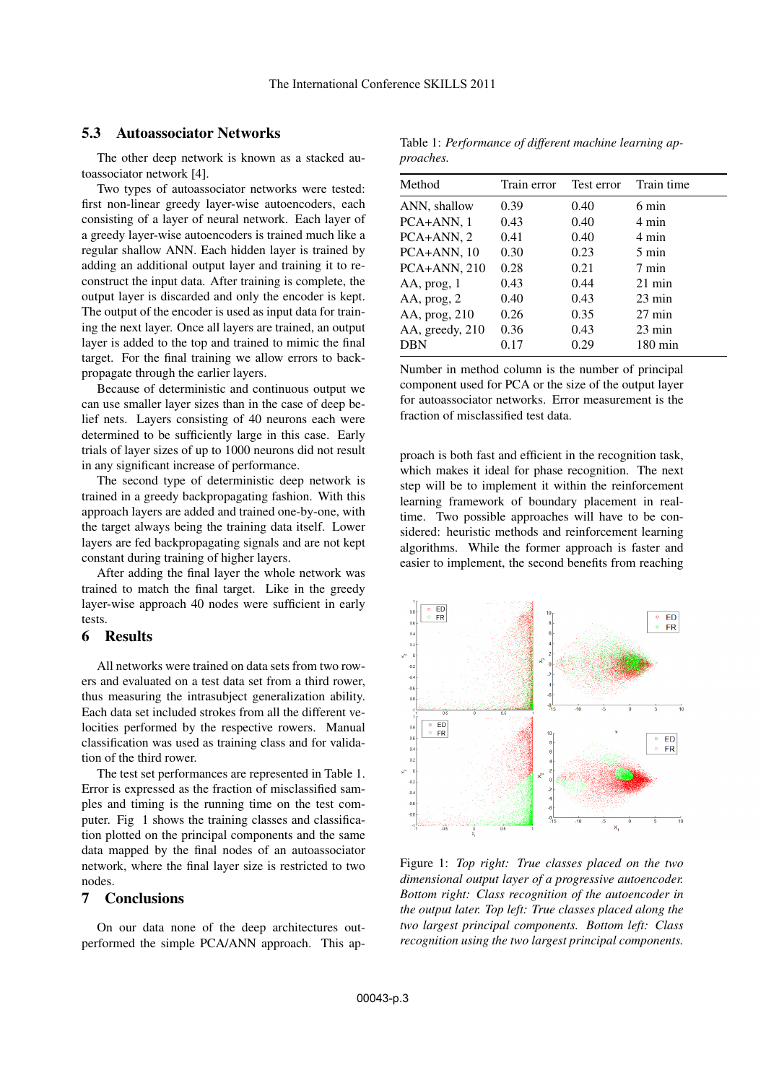# 5.3 Autoassociator Networks

The other deep network is known as a stacked autoassociator network [4].

Two types of autoassociator networks were tested: first non-linear greedy layer-wise autoencoders, each consisting of a layer of neural network. Each layer of a greedy layer-wise autoencoders is trained much like a regular shallow ANN. Each hidden layer is trained by adding an additional output layer and training it to reconstruct the input data. After training is complete, the output layer is discarded and only the encoder is kept. The output of the encoder is used as input data for training the next layer. Once all layers are trained, an output layer is added to the top and trained to mimic the final target. For the final training we allow errors to backpropagate through the earlier layers.

Because of deterministic and continuous output we can use smaller layer sizes than in the case of deep belief nets. Layers consisting of 40 neurons each were determined to be sufficiently large in this case. Early trials of layer sizes of up to 1000 neurons did not result in any significant increase of performance.

The second type of deterministic deep network is trained in a greedy backpropagating fashion. With this approach layers are added and trained one-by-one, with the target always being the training data itself. Lower layers are fed backpropagating signals and are not kept constant during training of higher layers.

After adding the final layer the whole network was trained to match the final target. Like in the greedy layer-wise approach 40 nodes were sufficient in early tests.

#### 6 Results

All networks were trained on data sets from two rowers and evaluated on a test data set from a third rower, thus measuring the intrasubject generalization ability. Each data set included strokes from all the different velocities performed by the respective rowers. Manual classification was used as training class and for validation of the third rower.

The test set performances are represented in Table 1. Error is expressed as the fraction of misclassified samples and timing is the running time on the test computer. Fig 1 shows the training classes and classification plotted on the principal components and the same data mapped by the final nodes of an autoassociator network, where the final layer size is restricted to two nodes.

#### 7 Conclusions

On our data none of the deep architectures outperformed the simple PCA/ANN approach. This ap-

Table 1: *Performance of different machine learning approaches.*

| Method          | Train error | Test error | Train time        |
|-----------------|-------------|------------|-------------------|
| ANN, shallow    | 0.39        | 0.40       | 6 min             |
| PCA+ANN, 1      | 0.43        | 0.40       | 4 min             |
| PCA+ANN, 2      | 0.41        | 0.40       | 4 min             |
| $PCA+ANN, 10$   | 0.30        | 0.23       | $5 \text{ min}$   |
| $PCA+ANN, 210$  | 0.28        | 0.21       | 7 min             |
| AA, prog, 1     | 0.43        | 0.44       | $21 \text{ min}$  |
| AA, prog, 2     | 0.40        | 0.43       | $23 \text{ min}$  |
| AA, prog, 210   | 0.26        | 0.35       | $27 \text{ min}$  |
| AA, greedy, 210 | 0.36        | 0.43       | $23 \text{ min}$  |
| <b>DBN</b>      | 0.17        | 0.29       | $180 \text{ min}$ |
|                 |             |            |                   |

Number in method column is the number of principal component used for PCA or the size of the output layer for autoassociator networks. Error measurement is the fraction of misclassified test data.

proach is both fast and efficient in the recognition task, which makes it ideal for phase recognition. The next step will be to implement it within the reinforcement learning framework of boundary placement in realtime. Two possible approaches will have to be considered: heuristic methods and reinforcement learning algorithms. While the former approach is faster and easier to implement, the second benefits from reaching



Figure 1: *Top right: True classes placed on the two dimensional output layer of a progressive autoencoder. Bottom right: Class recognition of the autoencoder in the output later. Top left: True classes placed along the two largest principal components. Bottom left: Class recognition using the two largest principal components.*